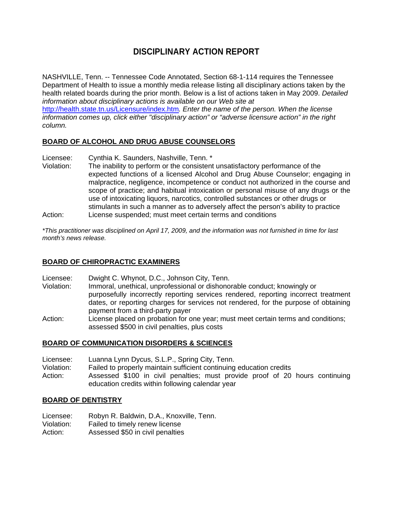# **DISCIPLINARY ACTION REPORT**

NASHVILLE, Tenn. -- Tennessee Code Annotated, Section 68-1-114 requires the Tennessee Department of Health to issue a monthly media release listing all disciplinary actions taken by the health related boards during the prior month. Below is a list of actions taken in May 2009. *Detailed information about disciplinary actions is available on our Web site at*  http://health.state.tn.us/Licensure/index.htm*. Enter the name of the person. When the license information comes up, click either "disciplinary action" or "adverse licensure action" in the right column.* 

#### **BOARD OF ALCOHOL AND DRUG ABUSE COUNSELORS**

- Licensee: Cynthia K. Saunders, Nashville, Tenn. \*<br>Violation: The inability to perform or the consistent
- The inability to perform or the consistent unsatisfactory performance of the expected functions of a licensed Alcohol and Drug Abuse Counselor; engaging in malpractice, negligence, incompetence or conduct not authorized in the course and scope of practice; and habitual intoxication or personal misuse of any drugs or the use of intoxicating liquors, narcotics, controlled substances or other drugs or stimulants in such a manner as to adversely affect the person's ability to practice Action: License suspended; must meet certain terms and conditions

*\*This practitioner was disciplined on April 17, 2009, and the information was not furnished in time for last month's news release.* 

#### **BOARD OF CHIROPRACTIC EXAMINERS**

- Licensee: Dwight C. Whynot, D.C., Johnson City, Tenn.
- Violation: Immoral, unethical, unprofessional or dishonorable conduct; knowingly or purposefully incorrectly reporting services rendered, reporting incorrect treatment dates, or reporting charges for services not rendered, for the purpose of obtaining payment from a third-party payer
- Action: License placed on probation for one year; must meet certain terms and conditions; assessed \$500 in civil penalties, plus costs

#### **BOARD OF COMMUNICATION DISORDERS & SCIENCES**

- Licensee: Luanna Lynn Dycus, S.L.P., Spring City, Tenn.
- Violation: Failed to properly maintain sufficient continuing education credits
- Action: Assessed \$100 in civil penalties; must provide proof of 20 hours continuing education credits within following calendar year

#### **BOARD OF DENTISTRY**

- Licensee: Robyn R. Baldwin, D.A., Knoxville, Tenn.
- Violation: Failed to timely renew license
- Action: Assessed \$50 in civil penalties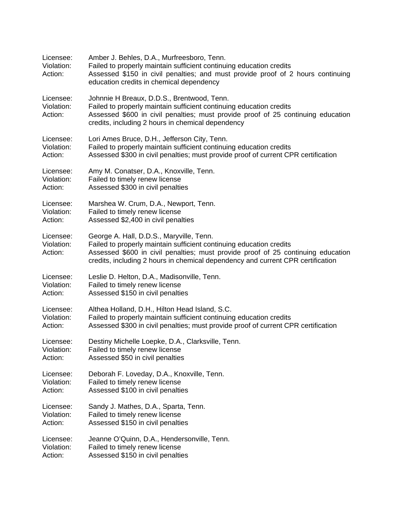| Licensee:<br>Violation:<br>Action: | Amber J. Behles, D.A., Murfreesboro, Tenn.<br>Failed to properly maintain sufficient continuing education credits<br>Assessed \$150 in civil penalties; and must provide proof of 2 hours continuing<br>education credits in chemical dependency                                       |  |  |
|------------------------------------|----------------------------------------------------------------------------------------------------------------------------------------------------------------------------------------------------------------------------------------------------------------------------------------|--|--|
| Licensee:<br>Violation:<br>Action: | Johnnie H Breaux, D.D.S., Brentwood, Tenn.<br>Failed to properly maintain sufficient continuing education credits<br>Assessed \$600 in civil penalties; must provide proof of 25 continuing education<br>credits, including 2 hours in chemical dependency                             |  |  |
| Licensee:                          | Lori Ames Bruce, D.H., Jefferson City, Tenn.                                                                                                                                                                                                                                           |  |  |
| Violation:                         | Failed to properly maintain sufficient continuing education credits                                                                                                                                                                                                                    |  |  |
| Action:                            | Assessed \$300 in civil penalties; must provide proof of current CPR certification                                                                                                                                                                                                     |  |  |
| Licensee:                          | Amy M. Conatser, D.A., Knoxville, Tenn.                                                                                                                                                                                                                                                |  |  |
| Violation:                         | Failed to timely renew license                                                                                                                                                                                                                                                         |  |  |
| Action:                            | Assessed \$300 in civil penalties                                                                                                                                                                                                                                                      |  |  |
| Licensee:                          | Marshea W. Crum, D.A., Newport, Tenn.                                                                                                                                                                                                                                                  |  |  |
| Violation:                         | Failed to timely renew license                                                                                                                                                                                                                                                         |  |  |
| Action:                            | Assessed \$2,400 in civil penalties                                                                                                                                                                                                                                                    |  |  |
| Licensee:<br>Violation:<br>Action: | George A. Hall, D.D.S., Maryville, Tenn.<br>Failed to properly maintain sufficient continuing education credits<br>Assessed \$600 in civil penalties; must provide proof of 25 continuing education<br>credits, including 2 hours in chemical dependency and current CPR certification |  |  |
| Licensee:                          | Leslie D. Helton, D.A., Madisonville, Tenn.                                                                                                                                                                                                                                            |  |  |
| Violation:                         | Failed to timely renew license                                                                                                                                                                                                                                                         |  |  |
| Action:                            | Assessed \$150 in civil penalties                                                                                                                                                                                                                                                      |  |  |
| Licensee:                          | Althea Holland, D.H., Hilton Head Island, S.C.                                                                                                                                                                                                                                         |  |  |
| Violation:                         | Failed to properly maintain sufficient continuing education credits                                                                                                                                                                                                                    |  |  |
| Action:                            | Assessed \$300 in civil penalties; must provide proof of current CPR certification                                                                                                                                                                                                     |  |  |
| Licensee:                          | Destiny Michelle Loepke, D.A., Clarksville, Tenn.                                                                                                                                                                                                                                      |  |  |
| Violation:                         | Failed to timely renew license                                                                                                                                                                                                                                                         |  |  |
| Action:                            | Assessed \$50 in civil penalties                                                                                                                                                                                                                                                       |  |  |
| Licensee:                          | Deborah F. Loveday, D.A., Knoxville, Tenn.                                                                                                                                                                                                                                             |  |  |
| Violation:                         | Failed to timely renew license                                                                                                                                                                                                                                                         |  |  |
| Action:                            | Assessed \$100 in civil penalties                                                                                                                                                                                                                                                      |  |  |
| Licensee:                          | Sandy J. Mathes, D.A., Sparta, Tenn.                                                                                                                                                                                                                                                   |  |  |
| Violation:                         | Failed to timely renew license                                                                                                                                                                                                                                                         |  |  |
| Action:                            | Assessed \$150 in civil penalties                                                                                                                                                                                                                                                      |  |  |
| Licensee:                          | Jeanne O'Quinn, D.A., Hendersonville, Tenn.                                                                                                                                                                                                                                            |  |  |
| Violation:                         | Failed to timely renew license                                                                                                                                                                                                                                                         |  |  |
| Action:                            | Assessed \$150 in civil penalties                                                                                                                                                                                                                                                      |  |  |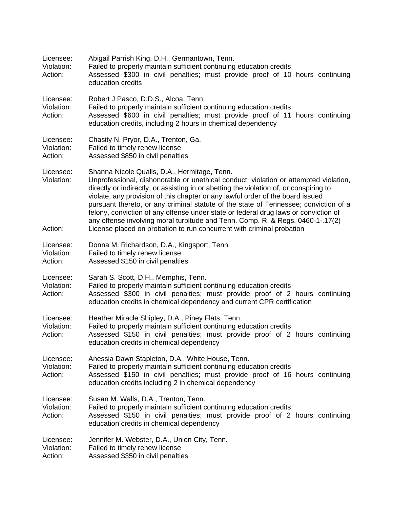| Licensee:<br>Violation:<br>Action: | Abigail Parrish King, D.H., Germantown, Tenn.<br>Failed to properly maintain sufficient continuing education credits<br>Assessed \$300 in civil penalties; must provide proof of 10 hours continuing<br>education credits                                                                                                                                                                                                                                                                                                                                                                                                                                  |  |  |
|------------------------------------|------------------------------------------------------------------------------------------------------------------------------------------------------------------------------------------------------------------------------------------------------------------------------------------------------------------------------------------------------------------------------------------------------------------------------------------------------------------------------------------------------------------------------------------------------------------------------------------------------------------------------------------------------------|--|--|
| Licensee:<br>Violation:<br>Action: | Robert J Pasco, D.D.S., Alcoa, Tenn.<br>Failed to properly maintain sufficient continuing education credits<br>Assessed \$600 in civil penalties; must provide proof of 11 hours continuing<br>education credits, including 2 hours in chemical dependency                                                                                                                                                                                                                                                                                                                                                                                                 |  |  |
| Licensee:<br>Violation:<br>Action: | Chasity N. Pryor, D.A., Trenton, Ga.<br>Failed to timely renew license<br>Assessed \$850 in civil penalties                                                                                                                                                                                                                                                                                                                                                                                                                                                                                                                                                |  |  |
| Licensee:<br>Violation:<br>Action: | Shanna Nicole Qualls, D.A., Hermitage, Tenn.<br>Unprofessional, dishonorable or unethical conduct; violation or attempted violation,<br>directly or indirectly, or assisting in or abetting the violation of, or conspiring to<br>violate, any provision of this chapter or any lawful order of the board issued<br>pursuant thereto, or any criminal statute of the state of Tennessee; conviction of a<br>felony, conviction of any offense under state or federal drug laws or conviction of<br>any offense involving moral turpitude and Tenn. Comp. R. & Regs. 0460-1-.17(2)<br>License placed on probation to run concurrent with criminal probation |  |  |
| Licensee:<br>Violation:<br>Action: | Donna M. Richardson, D.A., Kingsport, Tenn.<br>Failed to timely renew license<br>Assessed \$150 in civil penalties                                                                                                                                                                                                                                                                                                                                                                                                                                                                                                                                         |  |  |
| Licensee:<br>Violation:<br>Action: | Sarah S. Scott, D.H., Memphis, Tenn.<br>Failed to properly maintain sufficient continuing education credits<br>Assessed \$300 in civil penalties; must provide proof of 2 hours continuing<br>education credits in chemical dependency and current CPR certification                                                                                                                                                                                                                                                                                                                                                                                       |  |  |
| Licensee:<br>Violation:<br>Action: | Heather Miracle Shipley, D.A., Piney Flats, Tenn.<br>Failed to properly maintain sufficient continuing education credits<br>Assessed \$150 in civil penalties; must provide proof of 2 hours continuing<br>education credits in chemical dependency                                                                                                                                                                                                                                                                                                                                                                                                        |  |  |
| Licensee:<br>Violation:<br>Action: | Anessia Dawn Stapleton, D.A., White House, Tenn.<br>Failed to properly maintain sufficient continuing education credits<br>Assessed \$150 in civil penalties; must provide proof of 16 hours continuing<br>education credits including 2 in chemical dependency                                                                                                                                                                                                                                                                                                                                                                                            |  |  |
| Licensee:<br>Violation:<br>Action: | Susan M. Walls, D.A., Trenton, Tenn.<br>Failed to properly maintain sufficient continuing education credits<br>Assessed \$150 in civil penalties; must provide proof of 2 hours continuing<br>education credits in chemical dependency                                                                                                                                                                                                                                                                                                                                                                                                                     |  |  |
| Licensee:<br>Violation:<br>Action: | Jennifer M. Webster, D.A., Union City, Tenn.<br>Failed to timely renew license<br>Assessed \$350 in civil penalties                                                                                                                                                                                                                                                                                                                                                                                                                                                                                                                                        |  |  |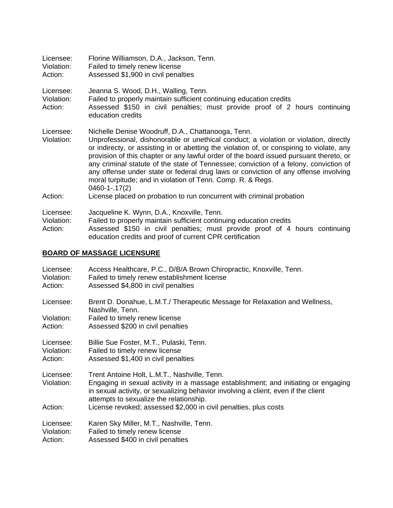| Licensee:<br>Violation:<br>Action: | Florine Williamson, D.A., Jackson, Tenn.<br>Failed to timely renew license<br>Assessed \$1,900 in civil penalties                                                                                                                                                                                                                                                                                                                                                                                                                                                                                       |  |
|------------------------------------|---------------------------------------------------------------------------------------------------------------------------------------------------------------------------------------------------------------------------------------------------------------------------------------------------------------------------------------------------------------------------------------------------------------------------------------------------------------------------------------------------------------------------------------------------------------------------------------------------------|--|
| Licensee:<br>Violation:<br>Action: | Jeanna S. Wood, D.H., Walling, Tenn.<br>Failed to properly maintain sufficient continuing education credits<br>Assessed \$150 in civil penalties; must provide proof of 2 hours continuing<br>education credits                                                                                                                                                                                                                                                                                                                                                                                         |  |
| Licensee:<br>Violation:<br>Action: | Nichelle Denise Woodruff, D.A., Chattanooga, Tenn.<br>Unprofessional, dishonorable or unethical conduct; a violation or violation, directly<br>or indirecty, or assisting in or abetting the violation of, or conspiring to violate, any<br>provision of this chapter or any lawful order of the board issued pursuant thereto, or<br>any criminal statute of the state of Tennessee; conviction of a felony, conviction of<br>any offense under state or federal drug laws or conviction of any offense involving<br>moral turpitude; and in violation of Tenn. Comp. R. & Regs.<br>$0460 - 1 - 17(2)$ |  |
|                                    | License placed on probation to run concurrent with criminal probation                                                                                                                                                                                                                                                                                                                                                                                                                                                                                                                                   |  |
| Licensee:<br>Violation:<br>Action: | Jacqueline K. Wynn, D.A., Knoxville, Tenn.<br>Failed to properly maintain sufficient continuing education credits<br>Assessed \$150 in civil penalties; must provide proof of 4 hours continuing<br>education credits and proof of current CPR certification                                                                                                                                                                                                                                                                                                                                            |  |

## **BOARD OF MASSAGE LICENSURE**

| Licensee:<br>Violation:<br>Action: | Access Healthcare, P.C., D/B/A Brown Chiropractic, Knoxville, Tenn.<br>Failed to timely renew establishment license<br>Assessed \$4,800 in civil penalties                                                          |
|------------------------------------|---------------------------------------------------------------------------------------------------------------------------------------------------------------------------------------------------------------------|
| Licensee:                          | Brent D. Donahue, L.M.T./ Therapeutic Message for Relaxation and Wellness,<br>Nashville, Tenn.                                                                                                                      |
| Violation:                         | Failed to timely renew license                                                                                                                                                                                      |
| Action:                            | Assessed \$200 in civil penalties                                                                                                                                                                                   |
| Licensee:                          | Billie Sue Foster, M.T., Pulaski, Tenn.                                                                                                                                                                             |
| Violation:                         | Failed to timely renew license                                                                                                                                                                                      |
| Action:                            | Assessed \$1,400 in civil penalties                                                                                                                                                                                 |
| Licensee:                          | Trent Antoine Holt, L.M.T., Nashville, Tenn.                                                                                                                                                                        |
| Violation:                         | Engaging in sexual activity in a massage establishment; and initiating or engaging<br>in sexual activity, or sexualizing behavior involving a client, even if the client<br>attempts to sexualize the relationship. |
| Action:                            | License revoked; assessed \$2,000 in civil penalties, plus costs                                                                                                                                                    |
| Licensee:                          | Karen Sky Miller, M.T., Nashville, Tenn.                                                                                                                                                                            |
| Violation:                         | Failed to timely renew license                                                                                                                                                                                      |
| Action:                            | Assessed \$400 in civil penalties                                                                                                                                                                                   |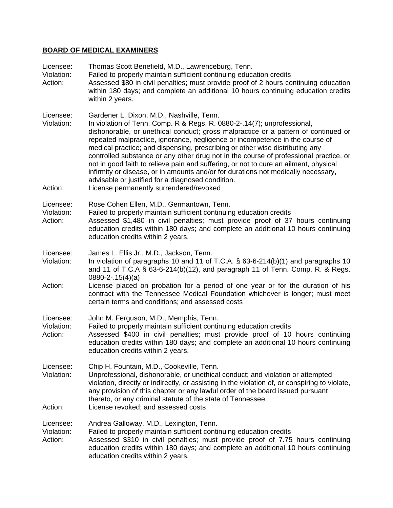### **BOARD OF MEDICAL EXAMINERS**

| Licensee:<br>Violation:<br>Action: | Thomas Scott Benefield, M.D., Lawrenceburg, Tenn.<br>Failed to properly maintain sufficient continuing education credits<br>Assessed \$80 in civil penalties; must provide proof of 2 hours continuing education<br>within 180 days; and complete an additional 10 hours continuing education credits<br>within 2 years.                                                                                                                                                                                                                                                                                                                                                                                                                         |
|------------------------------------|--------------------------------------------------------------------------------------------------------------------------------------------------------------------------------------------------------------------------------------------------------------------------------------------------------------------------------------------------------------------------------------------------------------------------------------------------------------------------------------------------------------------------------------------------------------------------------------------------------------------------------------------------------------------------------------------------------------------------------------------------|
| Licensee:<br>Violation:<br>Action: | Gardener L. Dixon, M.D., Nashville, Tenn.<br>In violation of Tenn. Comp. R & Regs. R. 0880-2-.14(7); unprofessional,<br>dishonorable, or unethical conduct; gross malpractice or a pattern of continued or<br>repeated malpractice, ignorance, negligence or incompetence in the course of<br>medical practice; and dispensing, prescribing or other wise distributing any<br>controlled substance or any other drug not in the course of professional practice, or<br>not in good faith to relieve pain and suffering, or not to cure an ailment, physical<br>infirmity or disease, or in amounts and/or for durations not medically necessary,<br>advisable or justified for a diagnosed condition.<br>License permanently surrendered/revoked |
| Licensee:<br>Violation:<br>Action: | Rose Cohen Ellen, M.D., Germantown, Tenn.<br>Failed to properly maintain sufficient continuing education credits<br>Assessed \$1,480 in civil penalties; must provide proof of 37 hours continuing<br>education credits within 180 days; and complete an additional 10 hours continuing<br>education credits within 2 years.                                                                                                                                                                                                                                                                                                                                                                                                                     |
| Licensee:<br>Violation:<br>Action: | James L. Ellis Jr., M.D., Jackson, Tenn.<br>In violation of paragraphs 10 and 11 of T.C.A. § 63-6-214(b)(1) and paragraphs 10<br>and 11 of T.C.A § 63-6-214(b)(12), and paragraph 11 of Tenn. Comp. R. & Regs.<br>$0880 - 2 - 15(4)(a)$<br>License placed on probation for a period of one year or for the duration of his<br>contract with the Tennessee Medical Foundation whichever is longer; must meet<br>certain terms and conditions; and assessed costs                                                                                                                                                                                                                                                                                  |
| Licensee:<br>Violation:<br>Action: | John M. Ferguson, M.D., Memphis, Tenn.<br>Failed to properly maintain sufficient continuing education credits<br>Assessed \$400 in civil penalties; must provide proof of 10 hours continuing<br>education credits within 180 days; and complete an additional 10 hours continuing<br>education credits within 2 years.                                                                                                                                                                                                                                                                                                                                                                                                                          |
| Licensee:<br>Violation:<br>Action: | Chip H. Fountain, M.D., Cookeville, Tenn.<br>Unprofessional, dishonorable, or unethical conduct; and violation or attempted<br>violation, directly or indirectly, or assisting in the violation of, or conspiring to violate,<br>any provision of this chapter or any lawful order of the board issued pursuant<br>thereto, or any criminal statute of the state of Tennessee.<br>License revoked; and assessed costs                                                                                                                                                                                                                                                                                                                            |
| Licensee:<br>Violation:<br>Action: | Andrea Galloway, M.D., Lexington, Tenn.<br>Failed to properly maintain sufficient continuing education credits<br>Assessed \$310 in civil penalties; must provide proof of 7.75 hours continuing<br>education credits within 180 days; and complete an additional 10 hours continuing<br>education credits within 2 years.                                                                                                                                                                                                                                                                                                                                                                                                                       |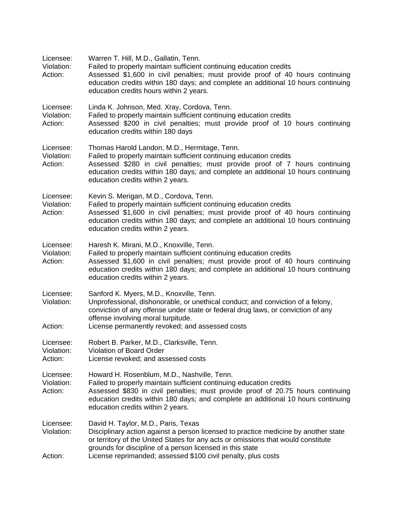| Licensee:<br>Violation:<br>Action: | Warren T. Hill, M.D., Gallatin, Tenn.<br>Failed to properly maintain sufficient continuing education credits<br>Assessed \$1,600 in civil penalties; must provide proof of 40 hours continuing<br>education credits within 180 days; and complete an additional 10 hours continuing<br>education credits hours within 2 years.                |  |  |  |
|------------------------------------|-----------------------------------------------------------------------------------------------------------------------------------------------------------------------------------------------------------------------------------------------------------------------------------------------------------------------------------------------|--|--|--|
| Licensee:<br>Violation:<br>Action: | Linda K. Johnson, Med. Xray, Cordova, Tenn.<br>Failed to properly maintain sufficient continuing education credits<br>Assessed \$200 in civil penalties; must provide proof of 10 hours continuing<br>education credits within 180 days                                                                                                       |  |  |  |
| Licensee:<br>Violation:<br>Action: | Thomas Harold Landon, M.D., Hermitage, Tenn.<br>Failed to properly maintain sufficient continuing education credits<br>Assessed \$280 in civil penalties; must provide proof of 7 hours continuing<br>education credits within 180 days; and complete an additional 10 hours continuing<br>education credits within 2 years.                  |  |  |  |
| Licensee:<br>Violation:<br>Action: | Kevin S. Merigan, M.D., Cordova, Tenn.<br>Failed to properly maintain sufficient continuing education credits<br>Assessed \$1,600 in civil penalties; must provide proof of 40 hours continuing<br>education credits within 180 days; and complete an additional 10 hours continuing<br>education credits within 2 years.                     |  |  |  |
| Licensee:<br>Violation:<br>Action: | Haresh K. Mirani, M.D., Knoxville, Tenn.<br>Failed to properly maintain sufficient continuing education credits<br>Assessed \$1,600 in civil penalties; must provide proof of 40 hours continuing<br>education credits within 180 days; and complete an additional 10 hours continuing<br>education credits within 2 years.                   |  |  |  |
| Licensee:<br>Violation:<br>Action: | Sanford K. Myers, M.D., Knoxville, Tenn.<br>Unprofessional, dishonorable, or unethical conduct; and conviction of a felony,<br>conviction of any offense under state or federal drug laws, or conviction of any<br>offense involving moral turpitude.<br>License permanently revoked; and assessed costs                                      |  |  |  |
| Licensee:<br>Violation:<br>Action: | Robert B. Parker, M.D., Clarksville, Tenn.<br><b>Violation of Board Order</b><br>License revoked; and assessed costs                                                                                                                                                                                                                          |  |  |  |
| Licensee:<br>Violation:<br>Action: | Howard H. Rosenblum, M.D., Nashville, Tenn.<br>Failed to properly maintain sufficient continuing education credits<br>Assessed \$830 in civil penalties; must provide proof of 20.75 hours continuing<br>education credits within 180 days; and complete an additional 10 hours continuing<br>education credits within 2 years.               |  |  |  |
| Licensee:<br>Violation:<br>Action: | David H. Taylor, M.D., Paris, Texas<br>Disciplinary action against a person licensed to practice medicine by another state<br>or territory of the United States for any acts or omissions that would constitute<br>grounds for discipline of a person licensed in this state<br>License reprimanded; assessed \$100 civil penalty, plus costs |  |  |  |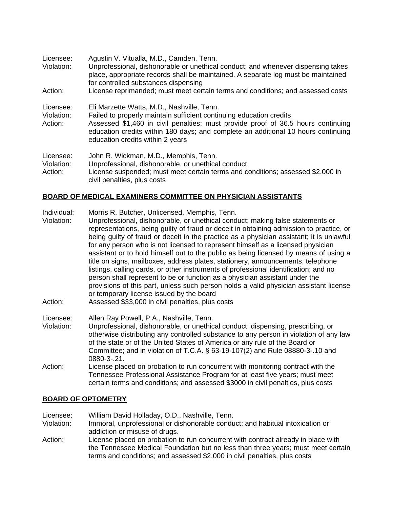| Licensee:<br>Violation:<br>Action: | Agustin V. Vitualla, M.D., Camden, Tenn.<br>Unprofessional, dishonorable or unethical conduct; and whenever dispensing takes<br>place, appropriate records shall be maintained. A separate log must be maintained<br>for controlled substances dispensing<br>License reprimanded; must meet certain terms and conditions; and assessed costs |
|------------------------------------|----------------------------------------------------------------------------------------------------------------------------------------------------------------------------------------------------------------------------------------------------------------------------------------------------------------------------------------------|
| Licensee:<br>Violation:<br>Action: | Eli Marzette Watts, M.D., Nashville, Tenn.<br>Failed to properly maintain sufficient continuing education credits<br>Assessed \$1,460 in civil penalties; must provide proof of 36.5 hours continuing<br>education credits within 180 days; and complete an additional 10 hours continuing<br>education credits within 2 years               |
| Licensee:<br>Violation:<br>Action: | John R. Wickman, M.D., Memphis, Tenn.<br>Unprofessional, dishonorable, or unethical conduct<br>License suspended; must meet certain terms and conditions; assessed \$2,000 in<br>civil penalties, plus costs                                                                                                                                 |

#### **BOARD OF MEDICAL EXAMINERS COMMITTEE ON PHYSICIAN ASSISTANTS**

Individual: Morris R. Butcher, Unlicensed, Memphis, Tenn.

- Violation: Unprofessional, dishonorable, or unethical conduct; making false statements or representations, being guilty of fraud or deceit in obtaining admission to practice, or being guilty of fraud or deceit in the practice as a physician assistant; it is unlawful for any person who is not licensed to represent himself as a licensed physician assistant or to hold himself out to the public as being licensed by means of using a title on signs, mailboxes, address plates, stationery, announcements, telephone listings, calling cards, or other instruments of professional identification; and no person shall represent to be or function as a physician assistant under the provisions of this part, unless such person holds a valid physician assistant license or temporary license issued by the board
- Action: Assessed \$33,000 in civil penalties, plus costs
- Licensee: Allen Ray Powell, P.A., Nashville, Tenn.
- Violation: Unprofessional, dishonorable, or unethical conduct; dispensing, prescribing, or otherwise distributing any controlled substance to any person in violation of any law of the state or of the United States of America or any rule of the Board or Committee; and in violation of T.C.A. § 63-19-107(2) and Rule 08880-3-.10 and 0880-3-.21.
- Action: License placed on probation to run concurrent with monitoring contract with the Tennessee Professional Assistance Program for at least five years; must meet certain terms and conditions; and assessed \$3000 in civil penalties, plus costs

#### **BOARD OF OPTOMETRY**

Licensee: William David Holladay, O.D., Nashville, Tenn. Violation: Immoral, unprofessional or dishonorable conduct; and habitual intoxication or

- addiction or misuse of drugs.
- Action: License placed on probation to run concurrent with contract already in place with the Tennessee Medical Foundation but no less than three years; must meet certain terms and conditions; and assessed \$2,000 in civil penalties, plus costs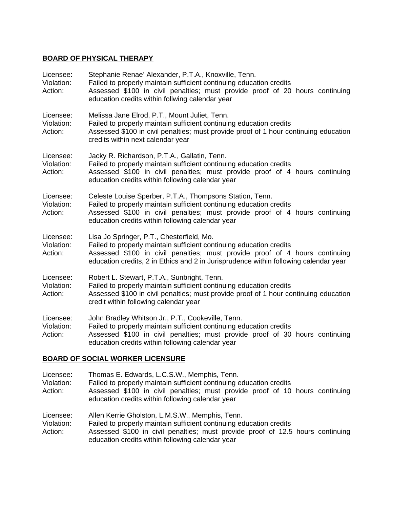#### **BOARD OF PHYSICAL THERAPY**

| Licensee:<br>Violation:<br>Action: | Stephanie Renae' Alexander, P.T.A., Knoxville, Tenn.<br>Failed to properly maintain sufficient continuing education credits<br>Assessed \$100 in civil penalties; must provide proof of 20 hours continuing<br>education credits within follwing calendar year                          |
|------------------------------------|-----------------------------------------------------------------------------------------------------------------------------------------------------------------------------------------------------------------------------------------------------------------------------------------|
| Licensee:<br>Violation:<br>Action: | Melissa Jane Elrod, P.T., Mount Juliet, Tenn.<br>Failed to properly maintain sufficient continuing education credits<br>Assessed \$100 in civil penalties; must provide proof of 1 hour continuing education<br>credits within next calendar year                                       |
| Licensee:<br>Violation:<br>Action: | Jacky R. Richardson, P.T.A., Gallatin, Tenn.<br>Failed to properly maintain sufficient continuing education credits<br>Assessed \$100 in civil penalties; must provide proof of 4 hours continuing<br>education credits within following calendar year                                  |
| Licensee:<br>Violation:<br>Action: | Celeste Louise Sperber, P.T.A., Thompsons Station, Tenn.<br>Failed to properly maintain sufficient continuing education credits<br>Assessed \$100 in civil penalties; must provide proof of 4 hours continuing<br>education credits within following calendar year                      |
| Licensee:<br>Violation:<br>Action: | Lisa Jo Springer, P.T., Chesterfield, Mo.<br>Failed to properly maintain sufficient continuing education credits<br>Assessed \$100 in civil penalties; must provide proof of 4 hours continuing<br>education credits, 2 in Ethics and 2 in Jurisprudence within following calendar year |
| Licensee:<br>Violation:<br>Action: | Robert L. Stewart, P.T.A., Sunbright, Tenn.<br>Failed to properly maintain sufficient continuing education credits<br>Assessed \$100 in civil penalties; must provide proof of 1 hour continuing education<br>credit within following calendar year                                     |
| Licensee:<br>Violation:<br>Action: | John Bradley Whitson Jr., P.T., Cookeville, Tenn.<br>Failed to properly maintain sufficient continuing education credits<br>Assessed \$100 in civil penalties; must provide proof of 30 hours continuing<br>education credits within following calendar year                            |

# **BOARD OF SOCIAL WORKER LICENSURE**

| Licensee:<br>Violation:<br>Action: | Thomas E. Edwards, L.C.S.W., Memphis, Tenn.<br>Failed to properly maintain sufficient continuing education credits<br>Assessed \$100 in civil penalties; must provide proof of 10 hours continuing<br>education credits within following calendar year       |
|------------------------------------|--------------------------------------------------------------------------------------------------------------------------------------------------------------------------------------------------------------------------------------------------------------|
| Licensee:<br>Violation:<br>Action: | Allen Kerrie Gholston, L.M.S.W., Memphis, Tenn.<br>Failed to properly maintain sufficient continuing education credits<br>Assessed \$100 in civil penalties; must provide proof of 12.5 hours continuing<br>education credits within following calendar year |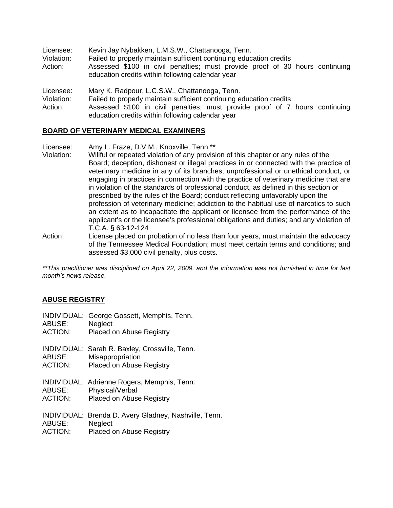| Licensee:<br>Violation:<br>Action: | Kevin Jay Nybakken, L.M.S.W., Chattanooga, Tenn.<br>Failed to properly maintain sufficient continuing education credits<br>Assessed \$100 in civil penalties; must provide proof of 30 hours continuing<br>education credits within following calendar year |
|------------------------------------|-------------------------------------------------------------------------------------------------------------------------------------------------------------------------------------------------------------------------------------------------------------|
| Licensee:<br>Violation:<br>Action: | Mary K. Radpour, L.C.S.W., Chattanooga, Tenn.<br>Failed to properly maintain sufficient continuing education credits<br>Assessed \$100 in civil penalties; must provide proof of 7 hours continuing<br>education credits within following calendar year     |

#### **BOARD OF VETERINARY MEDICAL EXAMINERS**

Licensee: Amy L. Fraze, D.V.M., Knoxville, Tenn.\*\*

- Violation: Willful or repeated violation of any provision of this chapter or any rules of the Board; deception, dishonest or illegal practices in or connected with the practice of veterinary medicine in any of its branches; unprofessional or unethical conduct, or engaging in practices in connection with the practice of veterinary medicine that are in violation of the standards of professional conduct, as defined in this section or prescribed by the rules of the Board; conduct reflecting unfavorably upon the profession of veterinary medicine; addiction to the habitual use of narcotics to such an extent as to incapacitate the applicant or licensee from the performance of the applicant's or the licensee's professional obligations and duties; and any violation of T.C.A. § 63-12-124
- Action: License placed on probation of no less than four years, must maintain the advocacy of the Tennessee Medical Foundation; must meet certain terms and conditions; and assessed \$3,000 civil penalty, plus costs.

*\*\*This practitioner was disciplined on April 22, 2009, and the information was not furnished in time for last month's news release.* 

#### **ABUSE REGISTRY**

|        | INDIVIDUAL: George Gossett, Memphis, Tenn. |  |
|--------|--------------------------------------------|--|
| ABUSE: | Neglect                                    |  |

- ACTION: Placed on Abuse Registry
- INDIVIDUAL: Sarah R. Baxley, Crossville, Tenn.
- ABUSE: Misappropriation
- ACTION: Placed on Abuse Registry
- INDIVIDUAL: Adrienne Rogers, Memphis, Tenn. ABUSE: Physical/Verbal
- ACTION: Placed on Abuse Registry
- INDIVIDUAL: Brenda D. Avery Gladney, Nashville, Tenn. ABUSE: Neglect
- ACTION: Placed on Abuse Registry